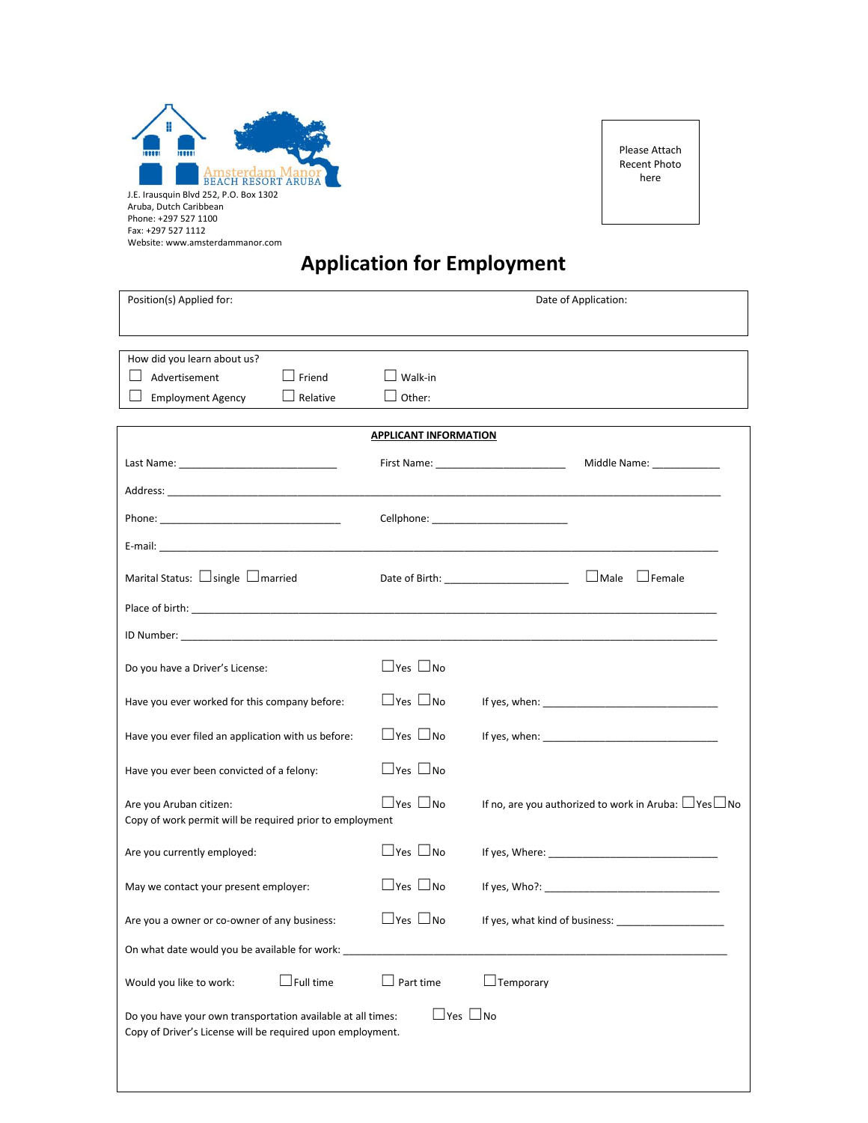

Website: www.amsterdammanor.com

Please Attach Recent Photo here

# **Application for Employment**

| Position(s) Applied for:                                                                                                          |                              | Date of Application:                                             |
|-----------------------------------------------------------------------------------------------------------------------------------|------------------------------|------------------------------------------------------------------|
| How did you learn about us?<br>$\Box$ Friend<br>$\vert \ \ \vert$<br>Advertisement<br>$\Box$ Relative<br><b>Employment Agency</b> | Other:                       |                                                                  |
|                                                                                                                                   | <b>APPLICANT INFORMATION</b> |                                                                  |
|                                                                                                                                   |                              | Middle Name: _____________                                       |
|                                                                                                                                   |                              |                                                                  |
|                                                                                                                                   |                              |                                                                  |
|                                                                                                                                   |                              |                                                                  |
| Marital Status: $\Box$ single $\Box$ married                                                                                      |                              | □Male □Female<br>Date of Birth: _______________________          |
|                                                                                                                                   |                              |                                                                  |
|                                                                                                                                   |                              |                                                                  |
| Do you have a Driver's License:                                                                                                   | $\Box$ Yes $\Box$ No         |                                                                  |
| Have you ever worked for this company before:                                                                                     | $\Box$ Yes $\Box$ No         |                                                                  |
| Have you ever filed an application with us before:                                                                                | $\Box$ Yes $\Box$ No         |                                                                  |
| Have you ever been convicted of a felony:                                                                                         | $\Box$ Yes $\Box$ No         |                                                                  |
| Are you Aruban citizen:<br>Copy of work permit will be required prior to employment                                               | $\Box$ Yes $\Box$ No         | If no, are you authorized to work in Aruba: $\Box$ Yes $\Box$ No |
| Are you currently employed:                                                                                                       | $\Box$ Yes $\Box$ No         |                                                                  |
| May we contact your present employer:                                                                                             | $\Box$ Yes $\Box$ No         |                                                                  |
| Are you a owner or co-owner of any business:                                                                                      | $\Box$ Yes $\Box$ No         |                                                                  |
| On what date would you be available for work:                                                                                     |                              |                                                                  |
| $\Box$ Full time<br>Would you like to work:                                                                                       | Part time                    | $\Box$ Temporary                                                 |
| Do you have your own transportation available at all times:<br>Copy of Driver's License will be required upon employment.         | $\Box$ Yes $\Box$ No         |                                                                  |
|                                                                                                                                   |                              |                                                                  |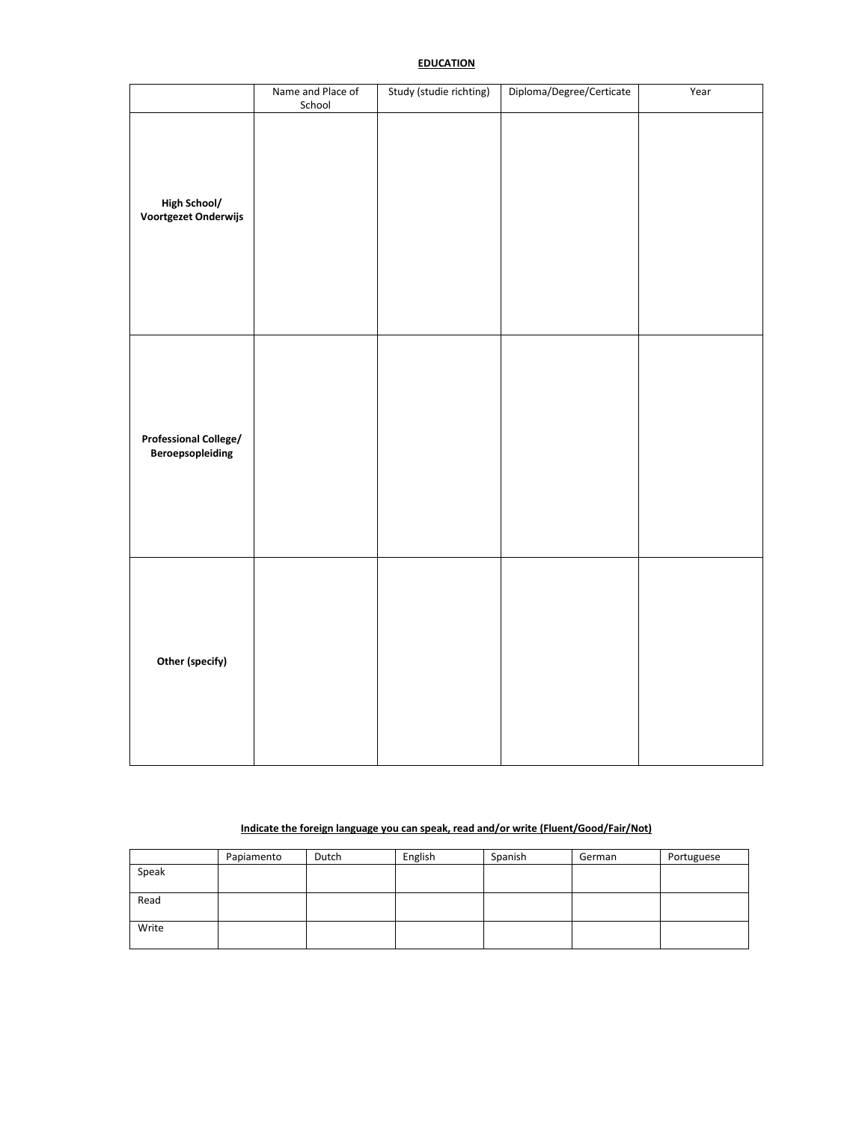## **EDUCATION**

|                                                  | Name and Place of<br>School | Study (studie richting) | Diploma/Degree/Certicate | Year |
|--------------------------------------------------|-----------------------------|-------------------------|--------------------------|------|
| <b>High School/</b><br>Voortgezet Onderwijs      |                             |                         |                          |      |
| <b>Professional College/</b><br>Beroepsopleiding |                             |                         |                          |      |
| Other (specify)                                  |                             |                         |                          |      |

## **Indicate the foreign language you can speak, read and/or write (Fluent/Good/Fair/Not)**

|       | Papiamento | Dutch | English | Spanish | German | Portuguese |
|-------|------------|-------|---------|---------|--------|------------|
| Speak |            |       |         |         |        |            |
|       |            |       |         |         |        |            |
| Read  |            |       |         |         |        |            |
|       |            |       |         |         |        |            |
| Write |            |       |         |         |        |            |
|       |            |       |         |         |        |            |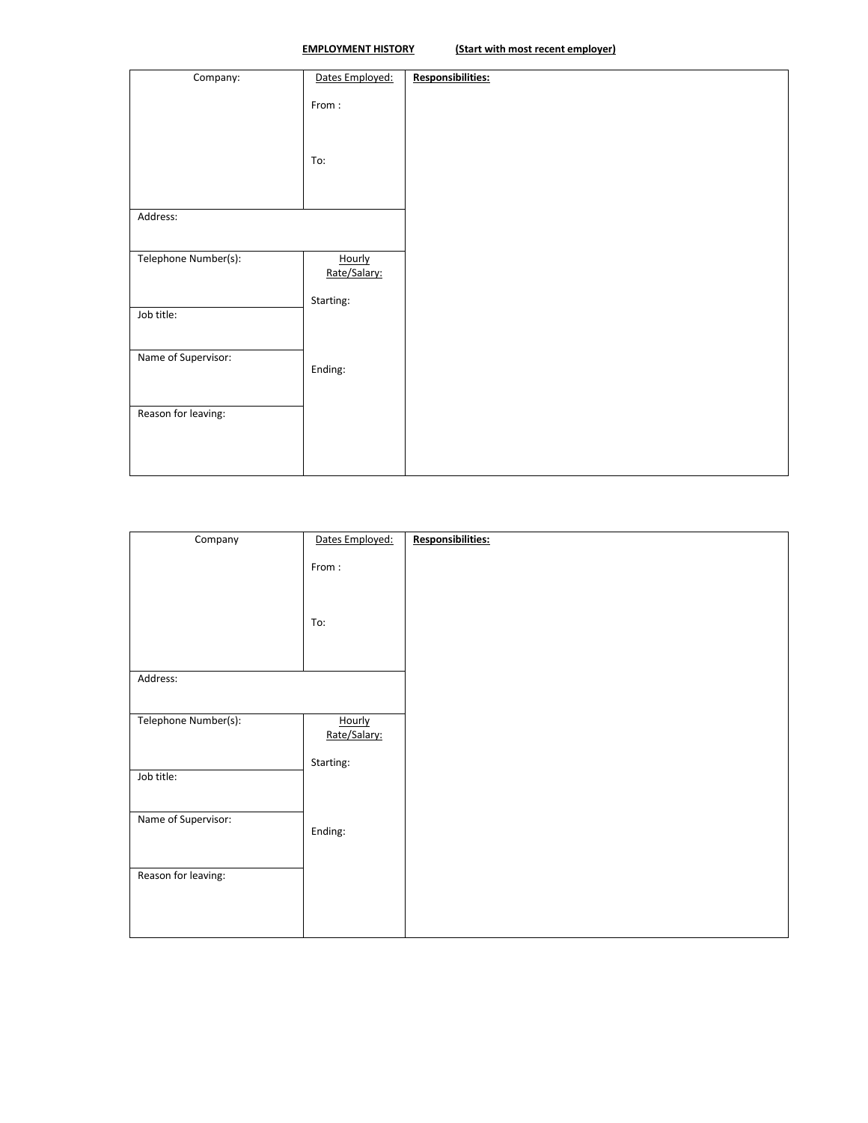| Company:             | Dates Employed: | Responsibilities: |
|----------------------|-----------------|-------------------|
|                      |                 |                   |
|                      | From:           |                   |
|                      |                 |                   |
|                      |                 |                   |
|                      |                 |                   |
|                      | To:             |                   |
|                      |                 |                   |
|                      |                 |                   |
|                      |                 |                   |
|                      |                 |                   |
| Address:             |                 |                   |
|                      |                 |                   |
|                      |                 |                   |
| Telephone Number(s): | Hourly          |                   |
|                      | Rate/Salary:    |                   |
|                      |                 |                   |
|                      | Starting:       |                   |
| Job title:           |                 |                   |
|                      |                 |                   |
|                      |                 |                   |
|                      |                 |                   |
| Name of Supervisor:  |                 |                   |
|                      | Ending:         |                   |
|                      |                 |                   |
|                      |                 |                   |
| Reason for leaving:  |                 |                   |
|                      |                 |                   |
|                      |                 |                   |
|                      |                 |                   |
|                      |                 |                   |
|                      |                 |                   |

| Company              | Dates Employed: | Responsibilities: |
|----------------------|-----------------|-------------------|
|                      |                 |                   |
|                      | From:           |                   |
|                      |                 |                   |
|                      |                 |                   |
|                      |                 |                   |
|                      |                 |                   |
|                      | To:             |                   |
|                      |                 |                   |
|                      |                 |                   |
|                      |                 |                   |
| Address:             |                 |                   |
|                      |                 |                   |
|                      |                 |                   |
| Telephone Number(s): | Hourly          |                   |
|                      | Rate/Salary:    |                   |
|                      |                 |                   |
|                      | Starting:       |                   |
| Job title:           |                 |                   |
|                      |                 |                   |
|                      |                 |                   |
| Name of Supervisor:  |                 |                   |
|                      | Ending:         |                   |
|                      |                 |                   |
|                      |                 |                   |
|                      |                 |                   |
| Reason for leaving:  |                 |                   |
|                      |                 |                   |
|                      |                 |                   |
|                      |                 |                   |
|                      |                 |                   |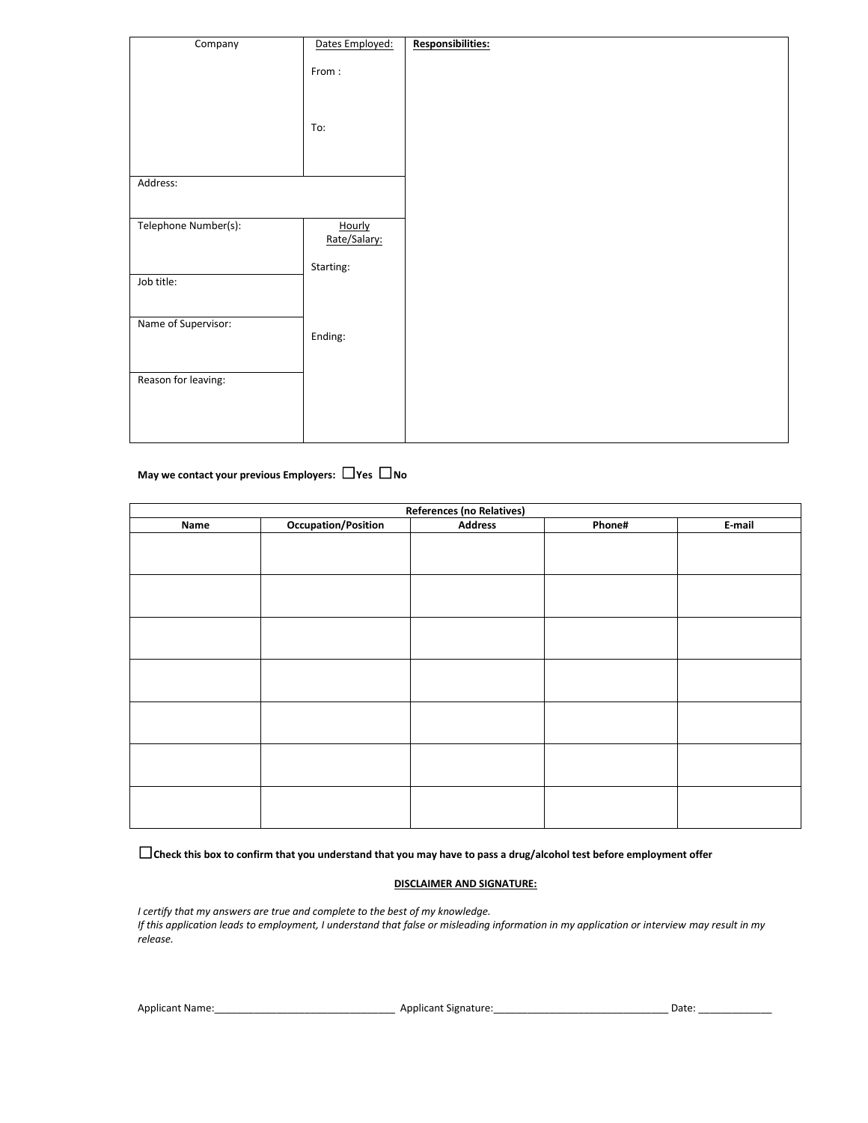| Company              | Dates Employed:        | <b>Responsibilities:</b> |
|----------------------|------------------------|--------------------------|
|                      | From:                  |                          |
|                      | To:                    |                          |
|                      |                        |                          |
| Address:             |                        |                          |
| Telephone Number(s): | Hourly<br>Rate/Salary: |                          |
| Job title:           | Starting:              |                          |
| Name of Supervisor:  | Ending:                |                          |
| Reason for leaving:  |                        |                          |
|                      |                        |                          |

# **May we contact your previous Employers:** ☐**Yes** ☐**No**

| <b>References (no Relatives)</b> |                     |                |        |        |  |
|----------------------------------|---------------------|----------------|--------|--------|--|
| Name                             | Occupation/Position | <b>Address</b> | Phone# | E-mail |  |
|                                  |                     |                |        |        |  |
|                                  |                     |                |        |        |  |
|                                  |                     |                |        |        |  |
|                                  |                     |                |        |        |  |
|                                  |                     |                |        |        |  |
|                                  |                     |                |        |        |  |
|                                  |                     |                |        |        |  |
|                                  |                     |                |        |        |  |
|                                  |                     |                |        |        |  |
|                                  |                     |                |        |        |  |
|                                  |                     |                |        |        |  |
|                                  |                     |                |        |        |  |
|                                  |                     |                |        |        |  |
|                                  |                     |                |        |        |  |
|                                  |                     |                |        |        |  |
|                                  |                     |                |        |        |  |
|                                  |                     |                |        |        |  |
|                                  |                     |                |        |        |  |
|                                  |                     |                |        |        |  |
|                                  |                     |                |        |        |  |

☐**Check this box to confirm that you understand that you may have to pass a drug/alcohol test before employment offer**

#### **DISCLAIMER AND SIGNATURE:**

*I certify that my answers are true and complete to the best of my knowledge. If this application leads to employment, I understand that false or misleading information in my application or interview may result in my release.*